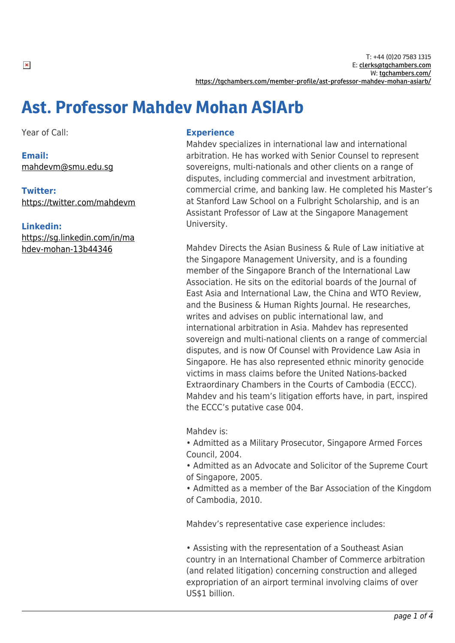# Ast. Professor Mahdev Mohan ASIArb

Year of Call:

**Email:** [mahdevm@smu.edu.sg](mailto:mahdevm@smu.edu.sg)

**Twitter:** <https://twitter.com/mahdevm>

**Linkedin:** [https://sg.linkedin.com/in/ma](https://sg.linkedin.com/in/mahdev-mohan-13b44346) [hdev-mohan-13b44346](https://sg.linkedin.com/in/mahdev-mohan-13b44346)

## **Experience**

Mahdev specializes in international law and international arbitration. He has worked with Senior Counsel to represent sovereigns, multi-nationals and other clients on a range of disputes, including commercial and investment arbitration, commercial crime, and banking law. He completed his Master's at Stanford Law School on a Fulbright Scholarship, and is an Assistant Professor of Law at the Singapore Management University.

Mahdev Directs the Asian Business & Rule of Law initiative at the Singapore Management University, and is a founding member of the Singapore Branch of the International Law Association. He sits on the editorial boards of the Journal of East Asia and International Law, the China and WTO Review, and the Business & Human Rights Journal. He researches, writes and advises on public international law, and international arbitration in Asia. Mahdev has represented sovereign and multi-national clients on a range of commercial disputes, and is now Of Counsel with Providence Law Asia in Singapore. He has also represented ethnic minority genocide victims in mass claims before the United Nations-backed Extraordinary Chambers in the Courts of Cambodia (ECCC). Mahdev and his team's litigation efforts have, in part, inspired the ECCC's putative case 004.

Mahdev is:

• Admitted as a Military Prosecutor, Singapore Armed Forces Council, 2004.

• Admitted as an Advocate and Solicitor of the Supreme Court of Singapore, 2005.

• Admitted as a member of the Bar Association of the Kingdom of Cambodia, 2010.

Mahdev's representative case experience includes:

• Assisting with the representation of a Southeast Asian country in an International Chamber of Commerce arbitration (and related litigation) concerning construction and alleged expropriation of an airport terminal involving claims of over US\$1 billion.

 $\pmb{\times}$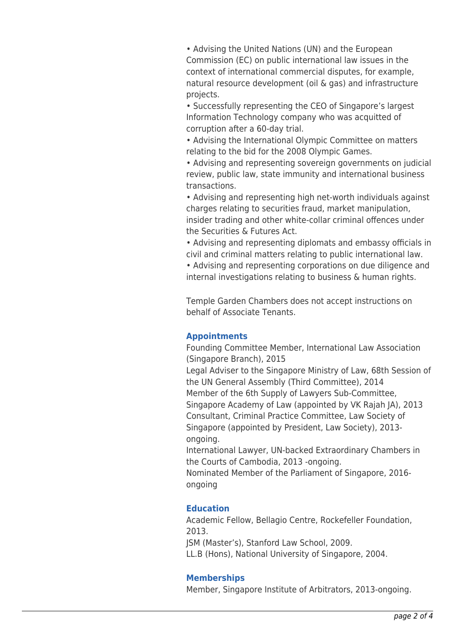• Advising the United Nations (UN) and the European Commission (EC) on public international law issues in the context of international commercial disputes, for example, natural resource development (oil & gas) and infrastructure projects.

• Successfully representing the CEO of Singapore's largest Information Technology company who was acquitted of corruption after a 60-day trial.

• Advising the International Olympic Committee on matters relating to the bid for the 2008 Olympic Games.

• Advising and representing sovereign governments on judicial review, public law, state immunity and international business transactions.

• Advising and representing high net-worth individuals against charges relating to securities fraud, market manipulation, insider trading and other white-collar criminal offences under the Securities & Futures Act.

• Advising and representing diplomats and embassy officials in civil and criminal matters relating to public international law.

• Advising and representing corporations on due diligence and internal investigations relating to business & human rights.

Temple Garden Chambers does not accept instructions on behalf of Associate Tenants.

### **Appointments**

Founding Committee Member, International Law Association (Singapore Branch), 2015

Legal Adviser to the Singapore Ministry of Law, 68th Session of the UN General Assembly (Third Committee), 2014 Member of the 6th Supply of Lawyers Sub-Committee, Singapore Academy of Law (appointed by VK Rajah JA), 2013 Consultant, Criminal Practice Committee, Law Society of Singapore (appointed by President, Law Society), 2013 ongoing.

International Lawyer, UN-backed Extraordinary Chambers in the Courts of Cambodia, 2013 -ongoing.

Nominated Member of the Parliament of Singapore, 2016 ongoing

### **Education**

Academic Fellow, Bellagio Centre, Rockefeller Foundation, 2013.

JSM (Master's), Stanford Law School, 2009.

LL.B (Hons), National University of Singapore, 2004.

### **Memberships**

Member, Singapore Institute of Arbitrators, 2013-ongoing.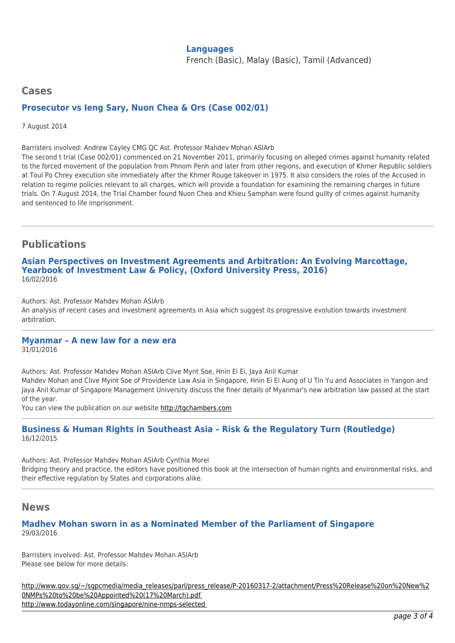#### **Languages**

French (Basic), Malay (Basic), Tamil (Advanced)

# **Cases Prosecutor vs Ieng Sary, Nuon Chea & Ors (Case 002/01)**

7 August 2014

Barristers involved: Andrew Cayley CMG QC Ast. Professor Mahdev Mohan ASIArb

The second t trial (Case 002/01) commenced on 21 November 2011, primarily focusing on alleged crimes against humanity related to the forced movement of the population from Phnom Penh and later from other regions, and execution of Khmer Republic soldiers at Toul Po Chrey execution site immediately after the Khmer Rouge takeover in 1975. It also considers the roles of the Accused in relation to regime policies relevant to all charges, which will provide a foundation for examining the remaining charges in future trials. On 7 August 2014, the Trial Chamber found Nuon Chea and Khieu Samphan were found guilty of crimes against humanity and sentenced to life imprisonment.

# **Publications**

**Asian Perspectives on Investment Agreements and Arbitration: An Evolving Marcottage, Yearbook of Investment Law & Policy, (Oxford University Press, 2016)** 16/02/2016

Authors: Ast. Professor Mahdev Mohan ASIArb An analysis of recent cases and investment agreements in Asia which suggest its progressive evolution towards investment arbitration.

# **Myanmar – A new law for a new era**

31/01/2016

Authors: Ast. Professor Mahdev Mohan ASIArb Clive Mynt Soe, Hnin Ei Ei, Jaya Anil Kumar Mahdev Mohan and Clive Myint Soe of Providence Law Asia in Singapore, Hnin Ei Ei Aung of U Tin Yu and Associates in Yangon and Jaya Anil Kumar of Singapore Management University discuss the finer details of Myanmar's new arbitration law passed at the start of the year.

You can view the publication on our website [http://tgchambers.com](https://tgchambers.com/wp-content/uploads/2016/02/Myanmar-–-a-new-law-for-a-new-era-News-Arbitration-News-Features-and-Reviews-Global-Arbitration-Review.pdf)

#### **Business & Human Rights in Southeast Asia – Risk & the Regulatory Turn (Routledge)** 16/12/2015

Authors: Ast. Professor Mahdev Mohan ASIArb Cynthia Morel Bridging theory and practice, the editors have positioned this book at the intersection of human rights and environmental risks, and their effective regulation by States and corporations alike.

### **News**

### **Madhev Mohan sworn in as a Nominated Member of the Parliament of Singapore** 29/03/2016

Barristers involved: Ast. Professor Mahdev Mohan ASIArb Please see below for more details:

[http://www.gov.sg/~/sgpcmedia/media\\_releases/parl/press\\_release/P-20160317-2/attachment/Press%20Release%20on%20New%2](http://www.gov.sg/~/sgpcmedia/media_releases/parl/press_release/P-20160317-2/attachment/Press%20Release%20on%20New%20NMPs%20to%20be%20Appointed%20(17%20March).pdf) [0NMPs%20to%20be%20Appointed%20\(17%20March\).pdf](http://www.gov.sg/~/sgpcmedia/media_releases/parl/press_release/P-20160317-2/attachment/Press%20Release%20on%20New%20NMPs%20to%20be%20Appointed%20(17%20March).pdf)  <http://www.todayonline.com/singapore/nine-nmps-selected>